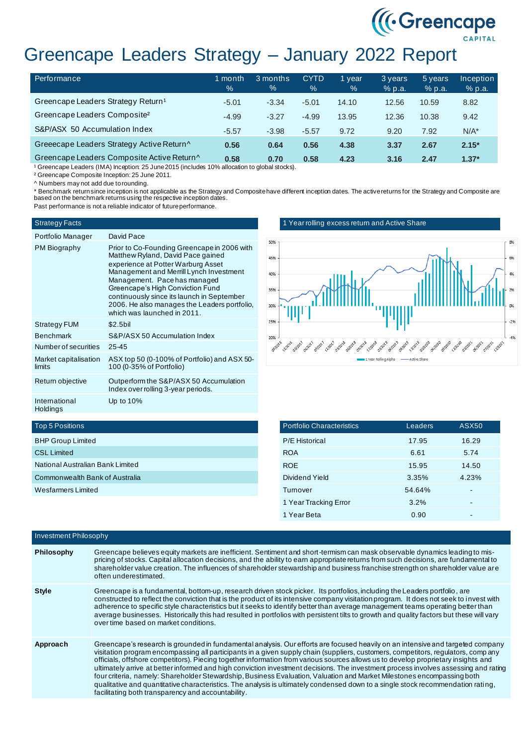# Greencape Leaders Strategy – January 2022 Report

| Performance                                    | 1 month<br>$\%$ | 3 months<br>% | <b>CYTD</b><br>$\%$ | l year<br>$\%$ | 3 years<br>% p.a. | 5 years<br>% p.a. | <b>Inception</b><br>% p.a. |
|------------------------------------------------|-----------------|---------------|---------------------|----------------|-------------------|-------------------|----------------------------|
| Greencape Leaders Strategy Return <sup>1</sup> | $-5.01$         | $-3.34$       | $-5.01$             | 14.10          | 12.56             | 10.59             | 8.82                       |
| Greencape Leaders Composite <sup>2</sup>       | $-4.99$         | $-3.27$       | $-4.99$             | 13.95          | 12.36             | 10.38             | 9.42                       |
| S&P/ASX 50 Accumulation Index                  | $-5.57$         | $-3.98$       | $-5.57$             | 9.72           | 9.20              | 7.92              | $N/A^*$                    |
| Greeecape Leaders Strategy Active Return^      | 0.56            | 0.64          | 0.56                | 4.38           | 3.37              | 2.67              | $2.15*$                    |
| Greencape Leaders Composite Active Return^     | 0.58            | 0.70          | 0.58                | 4.23           | 3.16              | 2.47              | $1.37*$                    |

<sup>1</sup> Greencape Leaders (IMA) Inception: 25 June 2015 (includes 10% allocation to global stocks).

² Greencape Composite Inception: 25 June 2011.

^ Numbers may not add due to rounding.

\* Benchmark return since inception is not applicable as the Strategy and Composite have different inception dates. The active returns for the Strategy and Composite are based on the benchmark returns using the respective inception dates.

Past performance is not a reliable indicator of future performance.

### Strategy Facts

| Portfolio Manager               | David Pace                                                                                                                                                                                                                                                                                                                                                         |
|---------------------------------|--------------------------------------------------------------------------------------------------------------------------------------------------------------------------------------------------------------------------------------------------------------------------------------------------------------------------------------------------------------------|
| PM Biography                    | Prior to Co-Founding Greencape in 2006 with<br>Matthew Ryland, David Pace gained<br>experience at Potter Warburg Asset<br>Management and Merrill Lynch Investment<br>Management. Pace has managed<br>Greencape's High Conviction Fund<br>continuously since its launch in September<br>2006. He also manages the Leaders portfolio,<br>which was launched in 2011. |
| <b>Strategy FUM</b>             | $$2.5$ bil                                                                                                                                                                                                                                                                                                                                                         |
| <b>Benchmark</b>                | S&P/ASX 50 Accumulation Index                                                                                                                                                                                                                                                                                                                                      |
| Number of securities            | $25 - 45$                                                                                                                                                                                                                                                                                                                                                          |
| Market capitalisation<br>limits | ASX top 50 (0-100% of Portfolio) and ASX 50-<br>100 (0-35% of Portfolio)                                                                                                                                                                                                                                                                                           |
| Return objective                | Outperform the S&P/ASX 50 Accumulation<br>Index over rolling 3-year periods.                                                                                                                                                                                                                                                                                       |
| International<br>Holdings       | Up to $10\%$                                                                                                                                                                                                                                                                                                                                                       |

## 1 Year rolling excess return and Active Share



((Creencape)

|  | <b>Portfolio Characteristics</b> | Leaders | ASX50 |
|--|----------------------------------|---------|-------|
|  | <b>P/E Historical</b>            | 17.95   | 16.29 |
|  | <b>ROA</b>                       | 6.61    | 5.74  |
|  | <b>ROE</b>                       | 15.95   | 14.50 |
|  | Dividend Yield                   | 3.35%   | 4.23% |
|  | Turnover                         | 54.64%  |       |
|  | 1 Year Tracking Error            | 3.2%    |       |
|  | 1 Year Beta                      | 0.90    |       |

# Top 5 Positions

| <b>BHP Group Limited</b>              |
|---------------------------------------|
| <b>CSL Limited</b>                    |
| National Australian Bank Limited      |
| <b>Commonwealth Bank of Australia</b> |
| Wesfarmers Limited                    |
|                                       |

| <b>Investment Philosophy</b> |                                                                                                                                                                                                                                                                                                                                                                                                                                                                                                                                                                                                                                                                                                                                                                                                                                                                    |  |  |
|------------------------------|--------------------------------------------------------------------------------------------------------------------------------------------------------------------------------------------------------------------------------------------------------------------------------------------------------------------------------------------------------------------------------------------------------------------------------------------------------------------------------------------------------------------------------------------------------------------------------------------------------------------------------------------------------------------------------------------------------------------------------------------------------------------------------------------------------------------------------------------------------------------|--|--|
| Philosophy                   | Greencape believes equity markets are inefficient. Sentiment and short-termism can mask observable dynamics leading to mis-<br>pricing of stocks. Capital allocation decisions, and the ability to earn appropriate returns from such decisions, are fundamental to<br>shareholder value creation. The influences of shareholder stewardship and business franchise strength on shareholder value are<br>often underestimated.                                                                                                                                                                                                                                                                                                                                                                                                                                     |  |  |
| <b>Style</b>                 | Greencape is a fundamental, bottom-up, research driven stock picker. Its portfolios, including the Leaders portfolio, are<br>constructed to reflect the conviction that is the product of its intensive company visitation program. It does not seek to invest with<br>adherence to specific style characteristics but it seeks to identify better than average management teams operating better than<br>average businesses. Historically this had resulted in portfolios with persistent tilts to growth and quality factors but these will vary<br>over time based on market conditions.                                                                                                                                                                                                                                                                        |  |  |
| Approach                     | Greencape's research is grounded in fundamental analysis. Our efforts are focused heavily on an intensive and targeted company<br>visitation program encompassing all participants in a given supply chain (suppliers, customers, competitors, regulators, company<br>officials, offshore competitors). Piecing together information from various sources allows us to develop proprietary insights and<br>ultimately arrive at better informed and high conviction investment decisions. The investment process involves assessing and rating<br>four criteria, namely: Shareholder Stewardship, Business Evaluation, Valuation and Market Milestones encompassing both<br>qualitative and quantitative characteristics. The analysis is ultimately condensed down to a single stock recommendation rating,<br>facilitating both transparency and accountability. |  |  |